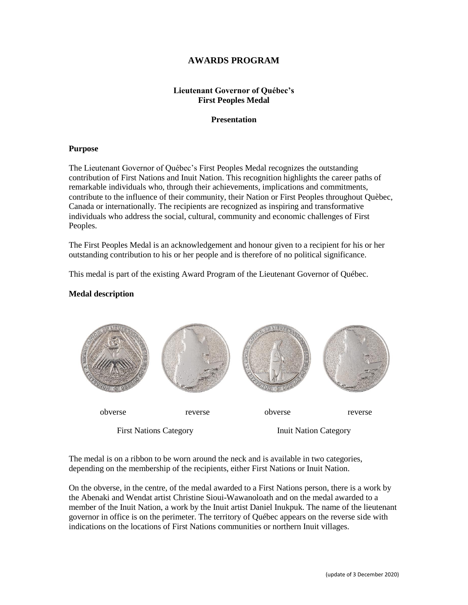# **AWARDS PROGRAM**

## **Lieutenant Governor of Québec's First Peoples Medal**

## **Presentation**

## **Purpose**

The Lieutenant Governor of Québec's First Peoples Medal recognizes the outstanding contribution of First Nations and Inuit Nation. This recognition highlights the career paths of remarkable individuals who, through their achievements, implications and commitments, contribute to the influence of their community, their Nation or First Peoples throughout Quèbec, Canada or internationally. The recipients are recognized as inspiring and transformative individuals who address the social, cultural, community and economic challenges of First Peoples.

The First Peoples Medal is an acknowledgement and honour given to a recipient for his or her outstanding contribution to his or her people and is therefore of no political significance.

This medal is part of the existing Award Program of the Lieutenant Governor of Québec.

## **Medal description**



The medal is on a ribbon to be worn around the neck and is available in two categories, depending on the membership of the recipients, either First Nations or Inuit Nation.

On the obverse, in the centre, of the medal awarded to a First Nations person, there is a work by the Abenaki and Wendat artist Christine Sioui-Wawanoloath and on the medal awarded to a member of the Inuit Nation, a work by the Inuit artist Daniel Inukpuk. The name of the lieutenant governor in office is on the perimeter. The territory of Québec appears on the reverse side with indications on the locations of First Nations communities or northern Inuit villages.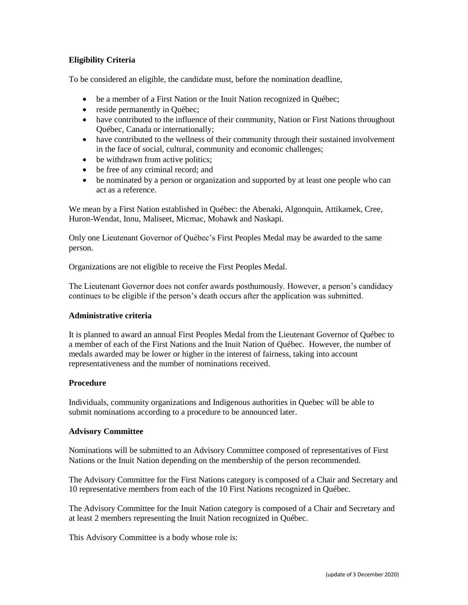## **Eligibility Criteria**

To be considered an eligible, the candidate must, before the nomination deadline,

- be a member of a First Nation or the Inuit Nation recognized in Québec;
- reside permanently in Québec;
- have contributed to the influence of their community, Nation or First Nations throughout Québec, Canada or internationally;
- have contributed to the wellness of their community through their sustained involvement in the face of social, cultural, community and economic challenges;
- be withdrawn from active politics;
- be free of any criminal record; and
- be nominated by a person or organization and supported by at least one people who can act as a reference.

We mean by a First Nation established in Québec: the Abenaki, Algonquin, Attikamek, Cree, Huron-Wendat, Innu, Maliseet, Micmac, Mohawk and Naskapi.

Only one Lieutenant Governor of Québec's First Peoples Medal may be awarded to the same person.

Organizations are not eligible to receive the First Peoples Medal.

The Lieutenant Governor does not confer awards posthumously. However, a person's candidacy continues to be eligible if the person's death occurs after the application was submitted.

## **Administrative criteria**

It is planned to award an annual First Peoples Medal from the Lieutenant Governor of Québec to a member of each of the First Nations and the Inuit Nation of Québec. However, the number of medals awarded may be lower or higher in the interest of fairness, taking into account representativeness and the number of nominations received.

## **Procedure**

Individuals, community organizations and Indigenous authorities in Quebec will be able to submit nominations according to a procedure to be announced later.

#### **Advisory Committee**

Nominations will be submitted to an Advisory Committee composed of representatives of First Nations or the Inuit Nation depending on the membership of the person recommended.

The Advisory Committee for the First Nations category is composed of a Chair and Secretary and 10 representative members from each of the 10 First Nations recognized in Québec.

The Advisory Committee for the Inuit Nation category is composed of a Chair and Secretary and at least 2 members representing the Inuit Nation recognized in Québec.

This Advisory Committee is a body whose role is: